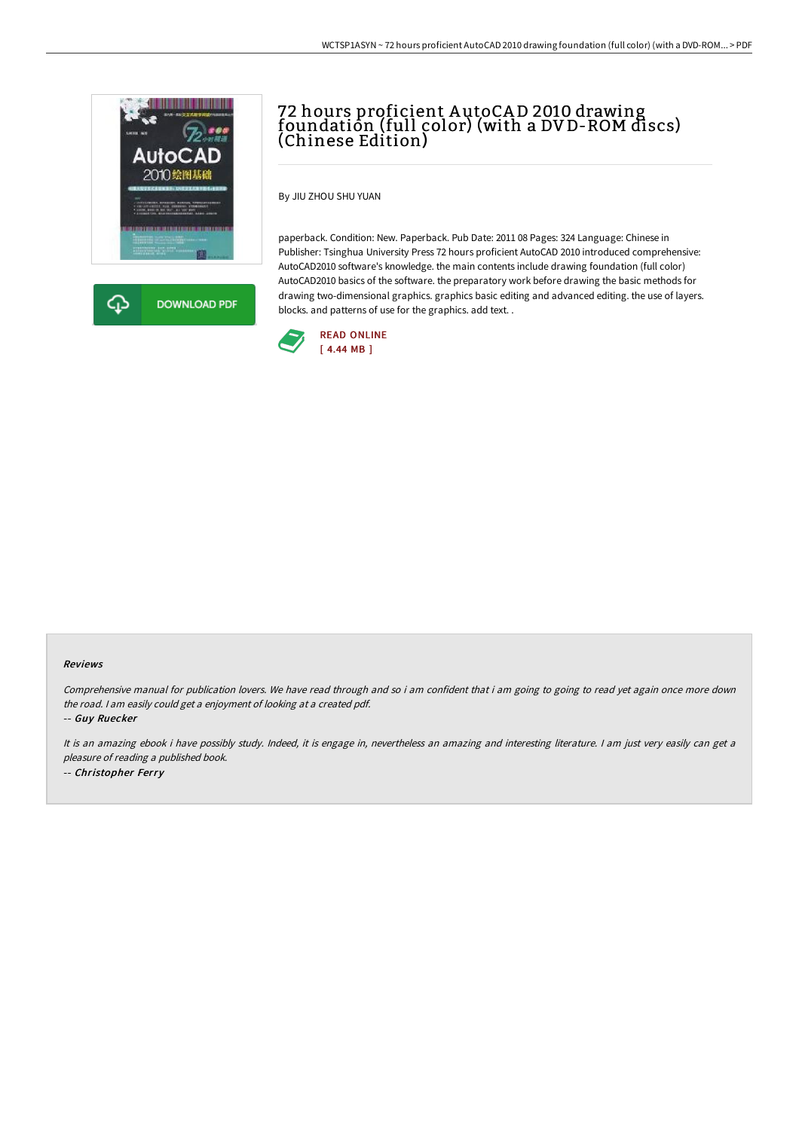

क़ **DOWNLOAD PDF** 

# 72 hours proficient A utoCA D 2010 drawing foundation (full color) (with a DV D-ROM discs) (Chinese Edition)

By JIU ZHOU SHU YUAN

paperback. Condition: New. Paperback. Pub Date: 2011 08 Pages: 324 Language: Chinese in Publisher: Tsinghua University Press 72 hours proficient AutoCAD 2010 introduced comprehensive: AutoCAD2010 software's knowledge. the main contents include drawing foundation (full color) AutoCAD2010 basics of the software. the preparatory work before drawing the basic methods for drawing two-dimensional graphics. graphics basic editing and advanced editing. the use of layers. blocks. and patterns of use for the graphics. add text. .



#### Reviews

Comprehensive manual for publication lovers. We have read through and so i am confident that i am going to going to read yet again once more down the road. <sup>I</sup> am easily could get <sup>a</sup> enjoyment of looking at <sup>a</sup> created pdf.

-- Guy Ruecker

It is an amazing ebook i have possibly study. Indeed, it is engage in, nevertheless an amazing and interesting literature. I am just very easily can get <sup>a</sup> pleasure of reading <sup>a</sup> published book. -- Christopher Ferry